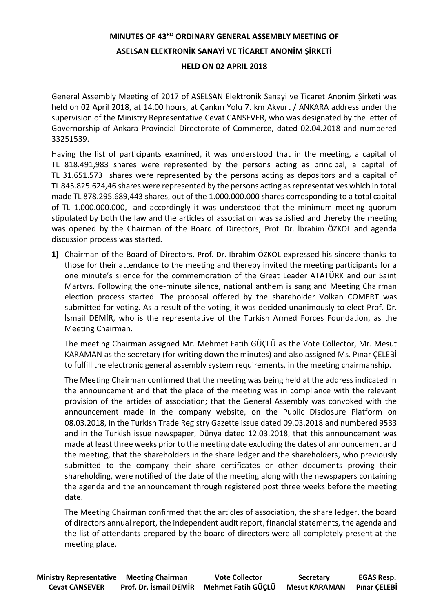## **MINUTES OF 43RD ORDINARY GENERAL ASSEMBLY MEETING OF ASELSAN ELEKTRONİK SANAYİ VE TİCARET ANONİM ŞİRKETİ HELD ON 02 APRIL 2018**

General Assembly Meeting of 2017 of ASELSAN Elektronik Sanayi ve Ticaret Anonim Şirketi was held on 02 April 2018, at 14.00 hours, at Çankırı Yolu 7. km Akyurt / ANKARA address under the supervision of the Ministry Representative Cevat CANSEVER, who was designated by the letter of Governorship of Ankara Provincial Directorate of Commerce, dated 02.04.2018 and numbered 33251539.

Having the list of participants examined, it was understood that in the meeting, a capital of TL 818.491,983 shares were represented by the persons acting as principal, a capital of TL 31.651.573 shares were represented by the persons acting as depositors and a capital of TL 845.825.624,46 shares were represented by the persons acting as representatives which in total made TL 878.295.689,443 shares, out of the 1.000.000.000 shares corresponding to a total capital of TL 1.000.000.000,- and accordingly it was understood that the minimum meeting quorum stipulated by both the law and the articles of association was satisfied and thereby the meeting was opened by the Chairman of the Board of Directors, Prof. Dr. İbrahim ÖZKOL and agenda discussion process was started.

**1)** Chairman of the Board of Directors, Prof. Dr. İbrahim ÖZKOL expressed his sincere thanks to those for their attendance to the meeting and thereby invited the meeting participants for a one minute's silence for the commemoration of the Great Leader ATATÜRK and our Saint Martyrs. Following the one-minute silence, national anthem is sang and Meeting Chairman election process started. The proposal offered by the shareholder Volkan CÖMERT was submitted for voting. As a result of the voting, it was decided unanimously to elect Prof. Dr. İsmail DEMİR, who is the representative of the Turkish Armed Forces Foundation, as the Meeting Chairman.

The meeting Chairman assigned Mr. Mehmet Fatih GÜÇLÜ as the Vote Collector, Mr. Mesut KARAMAN as the secretary (for writing down the minutes) and also assigned Ms. Pınar ÇELEBİ to fulfill the electronic general assembly system requirements, in the meeting chairmanship.

The Meeting Chairman confirmed that the meeting was being held at the address indicated in the announcement and that the place of the meeting was in compliance with the relevant provision of the articles of association; that the General Assembly was convoked with the announcement made in the company website, on the Public Disclosure Platform on 08.03.2018, in the Turkish Trade Registry Gazette issue dated 09.03.2018 and numbered 9533 and in the Turkish issue newspaper, Dünya dated 12.03.2018, that this announcement was made at least three weeks prior to the meeting date excluding the dates of announcement and the meeting, that the shareholders in the share ledger and the shareholders, who previously submitted to the company their share certificates or other documents proving their shareholding, were notified of the date of the meeting along with the newspapers containing the agenda and the announcement through registered post three weeks before the meeting date.

The Meeting Chairman confirmed that the articles of association, the share ledger, the board of directors annual report, the independent audit report, financial statements, the agenda and the list of attendants prepared by the board of directors were all completely present at the meeting place.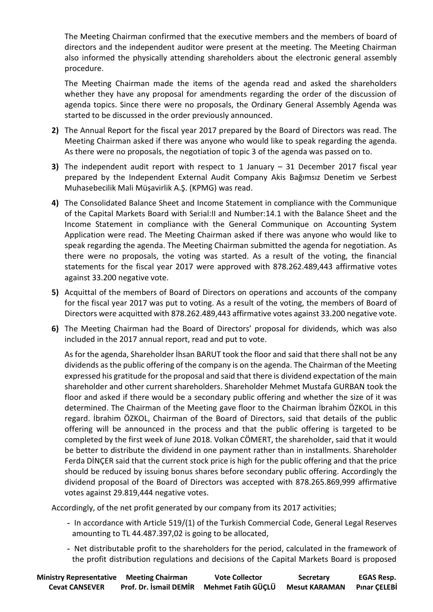The Meeting Chairman confirmed that the executive members and the members of board of directors and the independent auditor were present at the meeting. The Meeting Chairman also informed the physically attending shareholders about the electronic general assembly procedure.

The Meeting Chairman made the items of the agenda read and asked the shareholders whether they have any proposal for amendments regarding the order of the discussion of agenda topics. Since there were no proposals, the Ordinary General Assembly Agenda was started to be discussed in the order previously announced.

- **2)** The Annual Report for the fiscal year 2017 prepared by the Board of Directors was read. The Meeting Chairman asked if there was anyone who would like to speak regarding the agenda. As there were no proposals, the negotiation of topic 3 of the agenda was passed on to.
- **3)** The independent audit report with respect to 1 January 31 December 2017 fiscal year prepared by the Independent External Audit Company Akis Bağımsız Denetim ve Serbest Muhasebecilik Mali Müşavirlik A.Ş. (KPMG) was read.
- **4)** The Consolidated Balance Sheet and Income Statement in compliance with the Communique of the Capital Markets Board with Serial:II and Number:14.1 with the Balance Sheet and the Income Statement in compliance with the General Communique on Accounting System Application were read. The Meeting Chairman asked if there was anyone who would like to speak regarding the agenda. The Meeting Chairman submitted the agenda for negotiation. As there were no proposals, the voting was started. As a result of the voting, the financial statements for the fiscal year 2017 were approved with 878.262.489,443 affirmative votes against 33.200 negative vote.
- **5)** Acquittal of the members of Board of Directors on operations and accounts of the company for the fiscal year 2017 was put to voting. As a result of the voting, the members of Board of Directors were acquitted with 878.262.489,443 affirmative votes against 33.200 negative vote.
- **6)** The Meeting Chairman had the Board of Directors' proposal for dividends, which was also included in the 2017 annual report, read and put to vote.

As for the agenda, Shareholder İhsan BARUT took the floor and said that there shall not be any dividends asthe public offering of the company is on the agenda. The Chairman of the Meeting expressed his gratitude for the proposal and said that there is dividend expectation of the main shareholder and other current shareholders. Shareholder Mehmet Mustafa GURBAN took the floor and asked if there would be a secondary public offering and whether the size of it was determined. The Chairman of the Meeting gave floor to the Chairman İbrahim ÖZKOL in this regard. İbrahim ÖZKOL, Chairman of the Board of Directors, said that details of the public offering will be announced in the process and that the public offering is targeted to be completed by the first week of June 2018. Volkan CÖMERT, the shareholder, said that it would be better to distribute the dividend in one payment rather than in installments. Shareholder Ferda DİNÇER said that the current stock price is high for the public offering and that the price should be reduced by issuing bonus shares before secondary public offering. Accordingly the dividend proposal of the Board of Directors was accepted with 878.265.869,999 affirmative votes against 29.819,444 negative votes.

Accordingly, of the net profit generated by our company from its 2017 activities;

- **-** In accordance with Article 519/(1) of the Turkish Commercial Code, General Legal Reserves amounting to TL 44.487.397,02 is going to be allocated,
- **-** Net distributable profit to the shareholders for the period, calculated in the framework of the profit distribution regulations and decisions of the Capital Markets Board is proposed

| <b>Ministry Representative Meeting Chairman</b> |                        | <b>Vote Collector</b>            | <b>Secretary</b> | <b>EGAS Resp.</b> |
|-------------------------------------------------|------------------------|----------------------------------|------------------|-------------------|
| <b>Cevat CANSEVER</b>                           | Prof. Dr. İsmail DEMİR | Mehmet Fatih GÜÇLÜ Mesut KARAMAN |                  | Pınar ÇELEBİ      |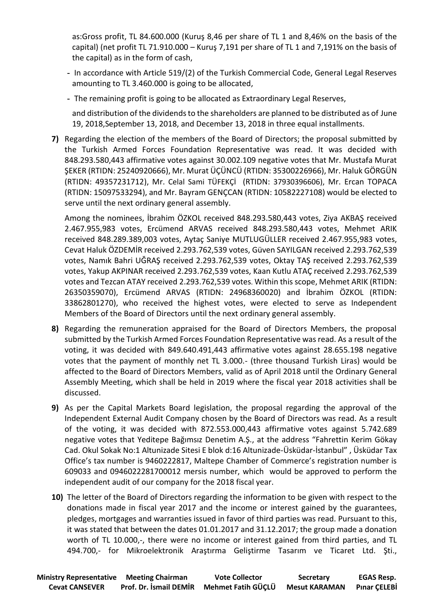as:Gross profit, TL 84.600.000 (Kuruş 8,46 per share of TL 1 and 8,46% on the basis of the capital) (net profit TL 71.910.000 – Kuruş 7,191 per share of TL 1 and 7,191% on the basis of the capital) as in the form of cash,

- **-** In accordance with Article 519/(2) of the Turkish Commercial Code, General Legal Reserves amounting to TL 3.460.000 is going to be allocated,
- **-** The remaining profit is going to be allocated as Extraordinary Legal Reserves,

and distribution of the dividends to the shareholders are planned to be distributed as of June 19, 2018,September 13, 2018, and December 13, 2018 in three equal installments.

**7)** Regarding the election of the members of the Board of Directors; the proposal submitted by the Turkish Armed Forces Foundation Representative was read. It was decided with 848.293.580,443 affirmative votes against 30.002.109 negative votes that Mr. Mustafa Murat ŞEKER (RTIDN: 25240920666), Mr. Murat ÜÇÜNCÜ (RTIDN: 35300226966), Mr. Haluk GÖRGÜN (RTIDN: 49357231712), Mr. Celal Sami TÜFEKÇİ (RTIDN: 37930396606), Mr. Ercan TOPACA (RTIDN: 15097533294), and Mr. Bayram GENÇCAN (RTIDN: 10582227108) would be elected to serve until the next ordinary general assembly.

Among the nominees, İbrahim ÖZKOL received 848.293.580,443 votes, Ziya AKBAŞ received 2.467.955,983 votes, Ercümend ARVAS received 848.293.580,443 votes, Mehmet ARIK received 848.289.389,003 votes, Aytaç Saniye MUTLUGÜLLER received 2.467.955,983 votes, Cevat Haluk ÖZDEMİR received 2.293.762,539 votes, Güven SAYILGAN received 2.293.762,539 votes, Namık Bahri UĞRAŞ received 2.293.762,539 votes, Oktay TAŞ received 2.293.762,539 votes, Yakup AKPINAR received 2.293.762,539 votes, Kaan Kutlu ATAÇ received 2.293.762,539 votes and Tezcan ATAY received 2.293.762,539 votes. Within this scope, Mehmet ARIK (RTIDN: 26350359070), Ercümend ARVAS (RTIDN: 24968360020) and İbrahim ÖZKOL (RTIDN: 33862801270), who received the highest votes, were elected to serve as Independent Members of the Board of Directors until the next ordinary general assembly.

- **8)** Regarding the remuneration appraised for the Board of Directors Members, the proposal submitted by the Turkish Armed Forces Foundation Representative was read. As a result of the voting, it was decided with 849.640.491,443 affirmative votes against 28.655.198 negative votes that the payment of monthly net TL 3.000.- (three thousand Turkish Liras) would be affected to the Board of Directors Members, valid as of April 2018 until the Ordinary General Assembly Meeting, which shall be held in 2019 where the fiscal year 2018 activities shall be discussed.
- **9)** As per the Capital Markets Board legislation, the proposal regarding the approval of the Independent External Audit Company chosen by the Board of Directors was read. As a result of the voting, it was decided with 872.553.000,443 affirmative votes against 5.742.689 negative votes that Yeditepe Bağımsız Denetim A.Ş., at the address "Fahrettin Kerim Gökay Cad. Okul Sokak No:1 Altunizade Sitesi E blok d:16 Altunizade-Üsküdar-İstanbul" , Üsküdar Tax Office's tax number is 9460222817, Maltepe Chamber of Commerce's registration number is 609033 and 0946022281700012 mersis number, which would be approved to perform the independent audit of our company for the 2018 fiscal year.
- **10)** The letter of the Board of Directors regarding the information to be given with respect to the donations made in fiscal year 2017 and the income or interest gained by the guarantees, pledges, mortgages and warranties issued in favor of third parties was read. Pursuant to this, it was stated that between the dates 01.01.2017 and 31.12.2017; the group made a donation worth of TL 10.000,-, there were no income or interest gained from third parties, and TL 494.700,- for Mikroelektronik Araştırma Geliştirme Tasarım ve Ticaret Ltd. Şti.,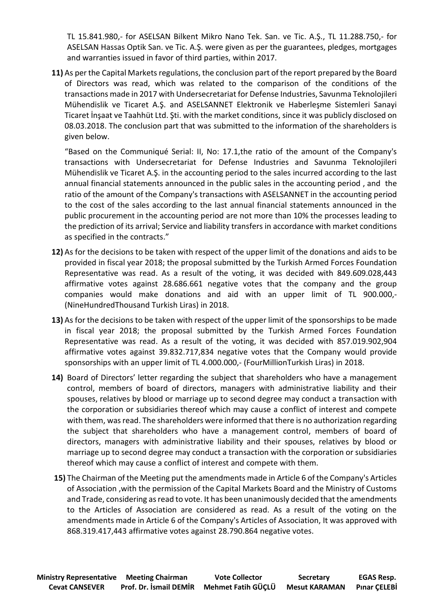TL 15.841.980,- for ASELSAN Bilkent Mikro Nano Tek. San. ve Tic. A.Ş., TL 11.288.750,- for ASELSAN Hassas Optik San. ve Tic. A.Ş. were given as per the guarantees, pledges, mortgages and warranties issued in favor of third parties, within 2017.

**11)** As per the Capital Markets regulations, the conclusion part of the report prepared by the Board of Directors was read, which was related to the comparison of the conditions of the transactions made in 2017 with Undersecretariat for Defense Industries, Savunma Teknolojileri Mühendislik ve Ticaret A.Ş. and ASELSANNET Elektronik ve Haberleşme Sistemleri Sanayi Ticaret İnşaat ve Taahhüt Ltd. Şti. with the market conditions, since it was publicly disclosed on 08.03.2018. The conclusion part that was submitted to the information of the shareholders is given below.

"Based on the Communiqué Serial: II, No: 17.1,the ratio of the amount of the Company's transactions with Undersecretariat for Defense Industries and Savunma Teknolojileri Mühendislik ve Ticaret A.Ş. in the accounting period to the sales incurred according to the last annual financial statements announced in the public sales in the accounting period , and the ratio of the amount of the Company's transactions with ASELSANNET in the accounting period to the cost of the sales according to the last annual financial statements announced in the public procurement in the accounting period are not more than 10% the processes leading to the prediction of its arrival; Service and liability transfers in accordance with market conditions as specified in the contracts."

- **12)** As for the decisions to be taken with respect of the upper limit of the donations and aids to be provided in fiscal year 2018; the proposal submitted by the Turkish Armed Forces Foundation Representative was read. As a result of the voting, it was decided with 849.609.028,443 affirmative votes against 28.686.661 negative votes that the company and the group companies would make donations and aid with an upper limit of TL 900.000,- (NineHundredThousand Turkish Liras) in 2018.
- **13)** As for the decisions to be taken with respect of the upper limit of the sponsorships to be made in fiscal year 2018; the proposal submitted by the Turkish Armed Forces Foundation Representative was read. As a result of the voting, it was decided with 857.019.902,904 affirmative votes against 39.832.717,834 negative votes that the Company would provide sponsorships with an upper limit of TL 4.000.000,- (FourMillionTurkish Liras) in 2018.
- **14)** Board of Directors' letter regarding the subject that shareholders who have a management control, members of board of directors, managers with administrative liability and their spouses, relatives by blood or marriage up to second degree may conduct a transaction with the corporation or subsidiaries thereof which may cause a conflict of interest and compete with them, was read. The shareholders were informed that there is no authorization regarding the subject that shareholders who have a management control, members of board of directors, managers with administrative liability and their spouses, relatives by blood or marriage up to second degree may conduct a transaction with the corporation or subsidiaries thereof which may cause a conflict of interest and compete with them.
- **15)** The Chairman of the Meeting put the amendments made in Article 6 of the Company's Articles of Association ,with the permission of the Capital Markets Board and the Ministry of Customs and Trade, considering as read to vote. It has been unanimously decided that the amendments to the Articles of Association are considered as read. As a result of the voting on the amendments made in Article 6 of the Company's Articles of Association, It was approved with 868.319.417,443 affirmative votes against 28.790.864 negative votes.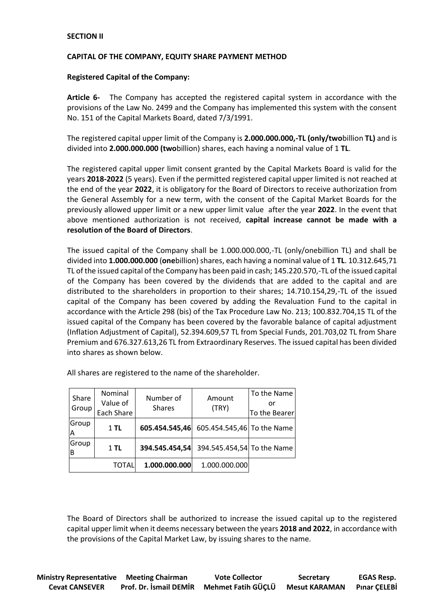## **SECTION II**

## **CAPITAL OF THE COMPANY, EQUITY SHARE PAYMENT METHOD**

## **Registered Capital of the Company:**

**Article 6-** The Company has accepted the registered capital system in accordance with the provisions of the Law No. 2499 and the Company has implemented this system with the consent No. 151 of the Capital Markets Board, dated 7/3/1991.

The registered capital upper limit of the Company is **2.000.000.000,-TL (only/two**billion **TL)** and is divided into **2.000.000.000 (two**billion) shares, each having a nominal value of 1 **TL**.

The registered capital upper limit consent granted by the Capital Markets Board is valid for the years **2018-2022** (5 years). Even if the permitted registered capital upper limited is not reached at the end of the year **2022**, it is obligatory for the Board of Directors to receive authorization from the General Assembly for a new term, with the consent of the Capital Market Boards for the previously allowed upper limit or a new upper limit value after the year **2022**. In the event that above mentioned authorization is not received, **capital increase cannot be made with a resolution of the Board of Directors**.

The issued capital of the Company shall be 1.000.000.000,-TL (only/onebillion TL) and shall be divided into **1.000.000.000** (**one**billion) shares, each having a nominal value of 1 **TL**. 10.312.645,71 TL of the issued capital of the Company has been paid in cash; 145.220.570,-TL of the issued capital of the Company has been covered by the dividends that are added to the capital and are distributed to the shareholders in proportion to their shares; 14.710.154,29,-TL of the issued capital of the Company has been covered by adding the Revaluation Fund to the capital in accordance with the Article 298 (bis) of the Tax Procedure Law No. 213; 100.832.704,15 TL of the issued capital of the Company has been covered by the favorable balance of capital adjustment (Inflation Adjustment of Capital), 52.394.609,57 TL from Special Funds, 201.703,02 TL from Share Premium and 676.327.613,26 TL from Extraordinary Reserves. The issued capital has been divided into shares as shown below.

| Share<br>Group | Nominal<br>Value of<br>Each Share | Number of<br><b>Shares</b> | Amount<br>(TRY)            | To the Name<br>or<br>To the Bearer |
|----------------|-----------------------------------|----------------------------|----------------------------|------------------------------------|
| Group<br>Α     | $1$ TL                            | 605.454.545,46             | 605.454.545,46 To the Name |                                    |
| Group<br>B     | $1$ TL                            | 394.545.454,54             | 394.545.454,54 To the Name |                                    |
|                | TOTAL                             | 1.000.000.000              | 1.000.000.000              |                                    |

All shares are registered to the name of the shareholder.

The Board of Directors shall be authorized to increase the issued capital up to the registered capital upper limit when it deems necessary between the years **2018 and 2022**, in accordance with the provisions of the Capital Market Law, by issuing shares to the name.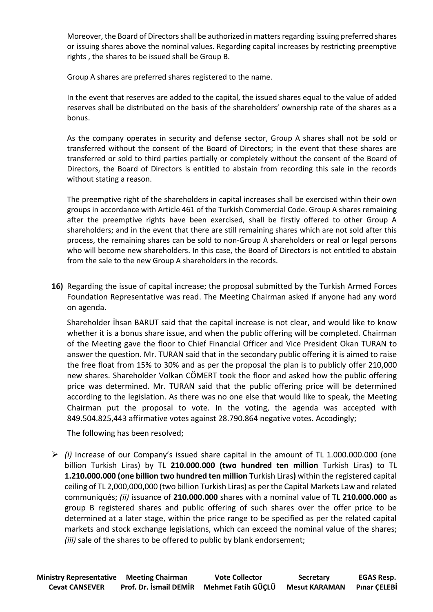Moreover, the Board of Directors shall be authorized in matters regarding issuing preferred shares or issuing shares above the nominal values. Regarding capital increases by restricting preemptive rights , the shares to be issued shall be Group B.

Group A shares are preferred shares registered to the name.

In the event that reserves are added to the capital, the issued shares equal to the value of added reserves shall be distributed on the basis of the shareholders' ownership rate of the shares as a bonus.

As the company operates in security and defense sector, Group A shares shall not be sold or transferred without the consent of the Board of Directors; in the event that these shares are transferred or sold to third parties partially or completely without the consent of the Board of Directors, the Board of Directors is entitled to abstain from recording this sale in the records without stating a reason.

The preemptive right of the shareholders in capital increases shall be exercised within their own groups in accordance with Article 461 of the Turkish Commercial Code. Group A shares remaining after the preemptive rights have been exercised, shall be firstly offered to other Group A shareholders; and in the event that there are still remaining shares which are not sold after this process, the remaining shares can be sold to non-Group A shareholders or real or legal persons who will become new shareholders. In this case, the Board of Directors is not entitled to abstain from the sale to the new Group A shareholders in the records.

**16)** Regarding the issue of capital increase; the proposal submitted by the Turkish Armed Forces Foundation Representative was read. The Meeting Chairman asked if anyone had any word on agenda.

Shareholder İhsan BARUT said that the capital increase is not clear, and would like to know whether it is a bonus share issue, and when the public offering will be completed. Chairman of the Meeting gave the floor to Chief Financial Officer and Vice President Okan TURAN to answer the question. Mr. TURAN said that in the secondary public offering it is aimed to raise the free float from 15% to 30% and as per the proposal the plan is to publicly offer 210,000 new shares. Shareholder Volkan CÖMERT took the floor and asked how the public offering price was determined. Mr. TURAN said that the public offering price will be determined according to the legislation. As there was no one else that would like to speak, the Meeting Chairman put the proposal to vote. In the voting, the agenda was accepted with 849.504.825,443 affirmative votes against 28.790.864 negative votes. Accodingly;

The following has been resolved;

 *(i)* Increase of our Company's issued share capital in the amount of TL 1.000.000.000 (one billion Turkish Liras) by TL **210.000.000 (two hundred ten million** Turkish Liras**)** to TL **1.210.000.000 (one billion two hundred ten million** Turkish Liras**)** within the registered capital ceiling of TL 2,000,000,000 (two billion Turkish Liras) as per the Capital Markets Law and related communiqués; *(ii)* issuance of **210.000.000** shares with a nominal value of TL **210.000.000** as group B registered shares and public offering of such shares over the offer price to be determined at a later stage, within the price range to be specified as per the related capital markets and stock exchange legislations, which can exceed the nominal value of the shares; *(iii)* sale of the shares to be offered to public by blank endorsement;